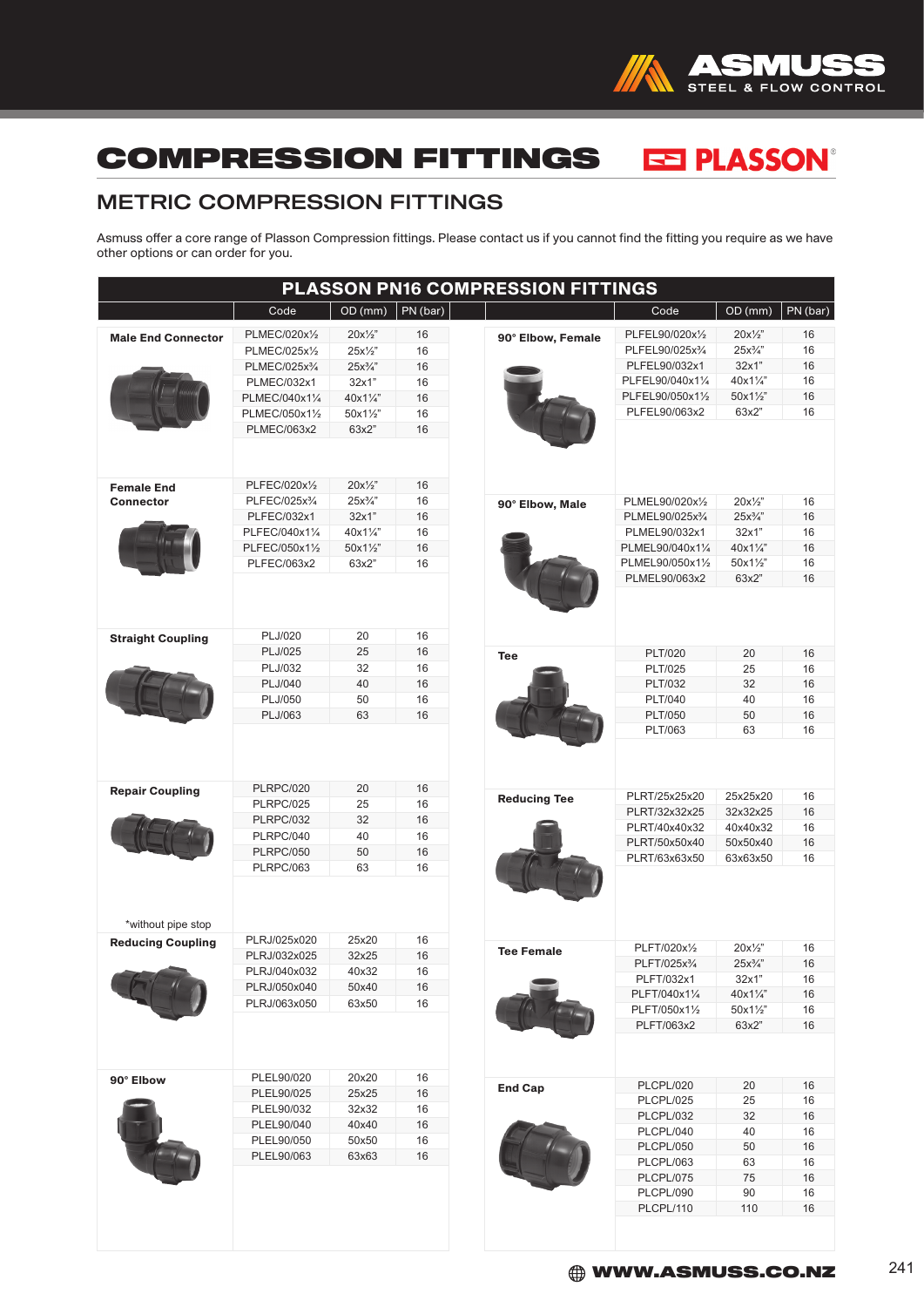

## EE PLASSON® COMPRESSION FITTINGS

## METRIC COMPRESSION FITTINGS

Asmuss offer a core range of Plasson Compression fittings. Please contact us if you cannot find the fitting you require as we have other options or can order for you.

| PLASSON PN16 COMPRESSION FITTINGS     |                           |                   |          |                     |                                  |                  |          |  |  |  |
|---------------------------------------|---------------------------|-------------------|----------|---------------------|----------------------------------|------------------|----------|--|--|--|
|                                       | Code                      | OD (mm)           | PN (bar) |                     | Code                             | OD (mm)          | PN (bar) |  |  |  |
| <b>Male End Connector</b>             | PLMEC/020x1/2             | $20x\frac{1}{2}$  | 16       | 90° Elbow, Female   | PLFEL90/020x1/2                  | $20x\frac{1}{2}$ | 16       |  |  |  |
|                                       | PLMEC/025x1/2             | $25x\frac{1}{2}$  | 16       |                     | PLFEL90/025x3/4                  | $25x\frac{3}{4}$ | 16       |  |  |  |
|                                       | PLMEC/025x3/4             | $25x\frac{3}{4}$  | 16       |                     | PLFEL90/032x1                    | 32x1"            | 16       |  |  |  |
|                                       | PLMEC/032x1               | 32x1"             | 16       |                     | PLFEL90/040x11/4                 | 40x11/4"         | 16       |  |  |  |
|                                       | PLMEC/040x11/4            | 40x11/4"          | 16       |                     | PLFEL90/050x11/2                 | 50x11/2"         | 16       |  |  |  |
|                                       | PLMEC/050x11/2            | 50x11/2"          | 16       |                     | PLFEL90/063x2                    | 63x2"            | 16       |  |  |  |
|                                       | PLMEC/063x2               | 63x2"             | 16       |                     |                                  |                  |          |  |  |  |
|                                       | PLFEC/020x1/2             | $20x\frac{1}{2}$  | 16       |                     |                                  |                  |          |  |  |  |
| <b>Female End</b><br><b>Connector</b> | PLFEC/025x3/4             | $25x^3/4$ "       | 16       | 90° Elbow, Male     | PLMEL90/020x1/2                  | $20x\frac{1}{2}$ | 16       |  |  |  |
|                                       | PLFEC/032x1               | 32x1"             | 16       |                     | PLMEL90/025x3/4                  | $25x\frac{3}{4}$ | 16       |  |  |  |
|                                       | PLFEC/040x11/4            | $40x1\frac{1}{4}$ | 16       |                     | PLMEL90/032x1                    | 32x1"            | 16       |  |  |  |
|                                       | PLFEC/050x11/2            | $50x1\frac{1}{2}$ | 16       |                     | PLMEL90/040x11/4                 | 40x11/4"         | 16       |  |  |  |
|                                       | PLFEC/063x2               | 63x2"             | 16       |                     | PLMEL90/050x11/2                 | 50x11/2"         | 16       |  |  |  |
|                                       |                           |                   |          |                     | PLMEL90/063x2                    | 63x2"            | 16       |  |  |  |
|                                       |                           |                   |          |                     |                                  |                  |          |  |  |  |
| <b>Straight Coupling</b>              | PLJ/020<br><b>PLJ/025</b> | 20<br>25          | 16<br>16 |                     |                                  |                  |          |  |  |  |
|                                       | PLJ/032                   | 32                | 16       | <b>Tee</b>          | <b>PLT/020</b><br><b>PLT/025</b> | 20               | 16       |  |  |  |
|                                       | PLJ/040                   | 40                | 16       |                     | PLT/032                          | 25<br>32         | 16<br>16 |  |  |  |
|                                       | PLJ/050                   | 50                | 16       |                     | <b>PLT/040</b>                   | 40               | 16       |  |  |  |
|                                       | PLJ/063                   | 63                | 16       |                     | <b>PLT/050</b>                   | 50               | 16       |  |  |  |
|                                       |                           |                   |          |                     | PLT/063                          | 63               | 16       |  |  |  |
|                                       | <b>PLRPC/020</b>          | 20                | 16       |                     |                                  |                  |          |  |  |  |
| <b>Repair Coupling</b>                | <b>PLRPC/025</b>          | 25                | 16       | <b>Reducing Tee</b> | PLRT/25x25x20                    | 25x25x20         | 16       |  |  |  |
|                                       | PLRPC/032                 | 32                | 16       |                     | PLRT/32x32x25                    | 32x32x25         | 16       |  |  |  |
|                                       | PLRPC/040                 | 40                | 16       |                     | PLRT/40x40x32                    | 40x40x32         | 16       |  |  |  |
|                                       | <b>PLRPC/050</b>          | 50                | 16       |                     | PLRT/50x50x40                    | 50x50x40         | 16       |  |  |  |
|                                       | <b>PLRPC/063</b>          | 63                | 16       |                     | PLRT/63x63x50                    | 63x63x50         | 16       |  |  |  |
| *without pipe stop                    |                           |                   |          |                     |                                  |                  |          |  |  |  |
| <b>Reducing Coupling</b>              | PLRJ/025x020              | 25x20             | 16       |                     | PLFT/020x1/2                     | $20x\frac{1}{2}$ | 16       |  |  |  |
|                                       | PLRJ/032x025              | 32x25             | 16       | <b>Tee Female</b>   | PLFT/025x3/4                     | $25x^3/4$ "      | 16       |  |  |  |
|                                       | PLRJ/040x032              | 40x32             | 16       |                     | PLFT/032x1                       | 32x1"            | 16       |  |  |  |
|                                       | PLRJ/050x040              | 50x40             | 16       |                     | PLFT/040x11/4                    | 40x11/4"         | 16       |  |  |  |
|                                       | PLRJ/063x050              | 63x50             | 16       |                     | PLFT/050x11/2                    | 50x11/2"         | 16       |  |  |  |
|                                       |                           |                   |          |                     | PLFT/063x2                       | 63x2"            | 16       |  |  |  |
|                                       |                           |                   |          |                     |                                  |                  |          |  |  |  |
| 90° Elbow                             | PLEL90/020                | 20x20             | 16       | <b>End Cap</b>      | PLCPL/020                        | 20               | 16       |  |  |  |
|                                       | PLEL90/025                | 25x25             | 16       |                     | PLCPL/025                        | 25               | 16       |  |  |  |
|                                       | PLEL90/032                | 32x32             | 16       |                     | PLCPL/032                        | 32               | 16       |  |  |  |
|                                       | PLEL90/040                | 40x40             | 16       |                     | PLCPL/040                        | 40               | 16       |  |  |  |
|                                       | PLEL90/050                | 50x50             | 16       |                     | <b>PLCPL/050</b>                 | 50               | 16       |  |  |  |
|                                       | PLEL90/063                | 63x63             | 16       |                     | PLCPL/063                        | 63               | 16       |  |  |  |
|                                       |                           |                   |          |                     | PLCPL/075                        | 75               | 16       |  |  |  |
|                                       |                           |                   |          |                     | PLCPL/090                        | 90               | 16       |  |  |  |
|                                       |                           |                   |          |                     | PLCPL/110                        | 110              | 16       |  |  |  |
|                                       |                           |                   |          |                     |                                  |                  |          |  |  |  |